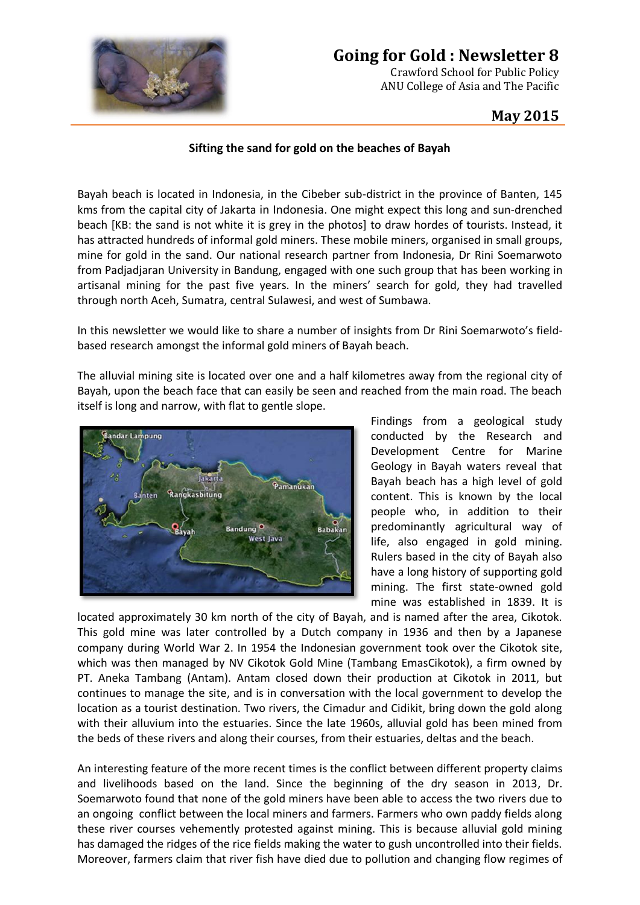

## **Going for Gold : Newsletter 8**

Crawford School for Public Policy ANU College of Asia and The Pacific

## **May 2015**

## **Sifting the sand for gold on the beaches of Bayah**

Bayah beach is located in Indonesia, in the Cibeber sub-district in the province of Banten, 145 kms from the capital city of Jakarta in Indonesia. One might expect this long and sun-drenched beach [KB: the sand is not white it is grey in the photos] to draw hordes of tourists. Instead, it has attracted hundreds of informal gold miners. These mobile miners, organised in small groups, mine for gold in the sand. Our national research partner from Indonesia, Dr Rini Soemarwoto from Padjadjaran University in Bandung, engaged with one such group that has been working in artisanal mining for the past five years. In the miners' search for gold, they had travelled through north Aceh, Sumatra, central Sulawesi, and west of Sumbawa.

In this newsletter we would like to share a number of insights from Dr Rini Soemarwoto's fieldbased research amongst the informal gold miners of Bayah beach.

The alluvial mining site is located over one and a half kilometres away from the regional city of Bayah, upon the beach face that can easily be seen and reached from the main road. The beach itself is long and narrow, with flat to gentle slope.



Findings from a geological study conducted by the Research and Development Centre for Marine Geology in Bayah waters reveal that Bayah beach has a high level of gold content. This is known by the local people who, in addition to their predominantly agricultural way of life, also engaged in gold mining. Rulers based in the city of Bayah also have a long history of supporting gold mining. The first state-owned gold mine was established in 1839. It is

located approximately 30 km north of the city of Bayah, and is named after the area, Cikotok. This gold mine was later controlled by a Dutch company in 1936 and then by a Japanese company during World War 2. In 1954 the Indonesian government took over the Cikotok site, which was then managed by NV Cikotok Gold Mine (Tambang EmasCikotok), a firm owned by PT. Aneka Tambang (Antam). Antam closed down their production at Cikotok in 2011, but continues to manage the site, and is in conversation with the local government to develop the location as a tourist destination. Two rivers, the Cimadur and Cidikit, bring down the gold along with their alluvium into the estuaries. Since the late 1960s, alluvial gold has been mined from the beds of these rivers and along their courses, from their estuaries, deltas and the beach.

An interesting feature of the more recent times is the conflict between different property claims and livelihoods based on the land. Since the beginning of the dry season in 2013, Dr. Soemarwoto found that none of the gold miners have been able to access the two rivers due to an ongoing conflict between the local miners and farmers. Farmers who own paddy fields along these river courses vehemently protested against mining. This is because alluvial gold mining has damaged the ridges of the rice fields making the water to gush uncontrolled into their fields. Moreover, farmers claim that river fish have died due to pollution and changing flow regimes of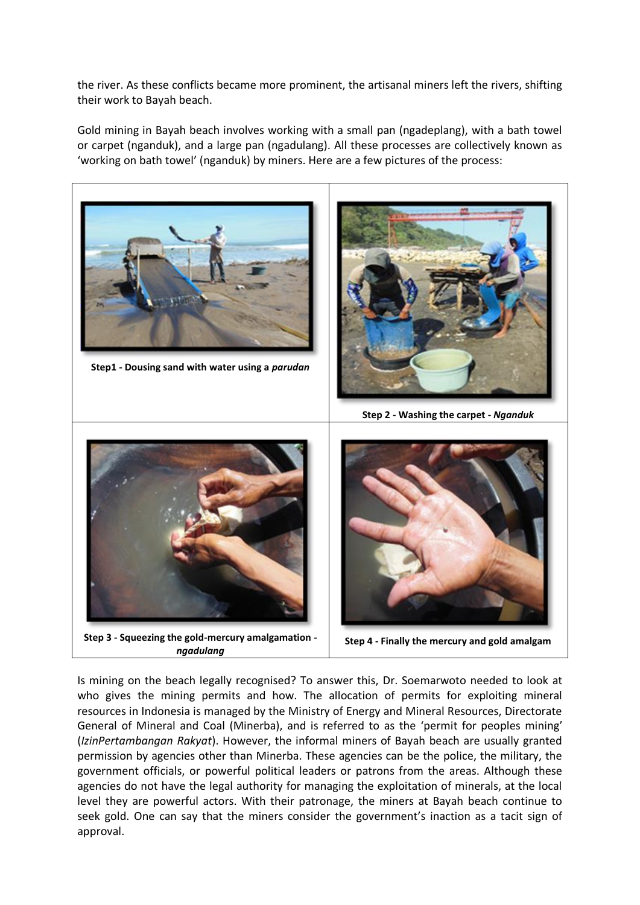the river. As these conflicts became more prominent, the artisanal miners left the rivers, shifting their work to Bayah beach.

Gold mining in Bayah beach involves working with a small pan (ngadeplang), with a bath towel or carpet (nganduk), and a large pan (ngadulang). All these processes are collectively known as 'working on bath towel' (nganduk) by miners. Here are a few pictures of the process:



Is mining on the beach legally recognised? To answer this, Dr. Soemarwoto needed to look at who gives the mining permits and how. The allocation of permits for exploiting mineral resources in Indonesia is managed by the Ministry of Energy and Mineral Resources, Directorate General of Mineral and Coal (Minerba), and is referred to as the 'permit for peoples mining' (*IzinPertambangan Rakyat*). However, the informal miners of Bayah beach are usually granted permission by agencies other than Minerba. These agencies can be the police, the military, the government officials, or powerful political leaders or patrons from the areas. Although these agencies do not have the legal authority for managing the exploitation of minerals, at the local level they are powerful actors. With their patronage, the miners at Bayah beach continue to seek gold. One can say that the miners consider the government's inaction as a tacit sign of approval.